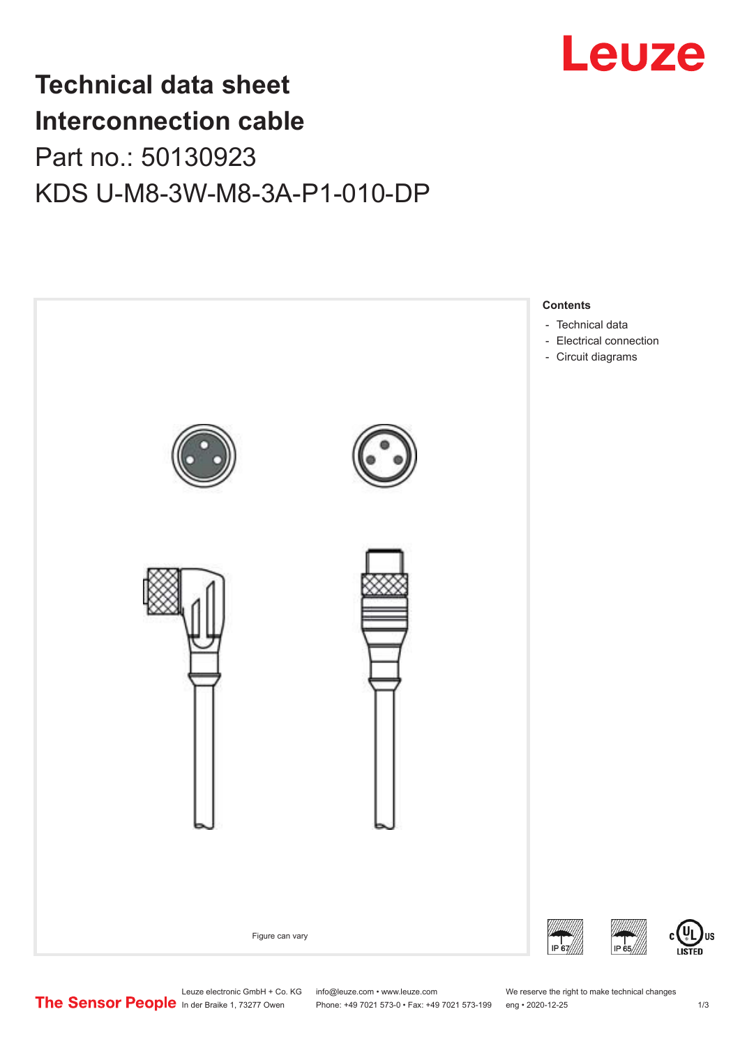

## **Technical data sheet Interconnection cable** Part no.: 50130923 KDS U-M8-3W-M8-3A-P1-010-DP



Leuze electronic GmbH + Co. KG info@leuze.com • www.leuze.com We reserve the right to make technical changes<br>
The Sensor People in der Braike 1, 73277 Owen Phone: +49 7021 573-0 • Fax: +49 7021 573-199 eng • 2020-12-25

Phone: +49 7021 573-0 • Fax: +49 7021 573-199 eng • 2020-12-25 1 2020-12-25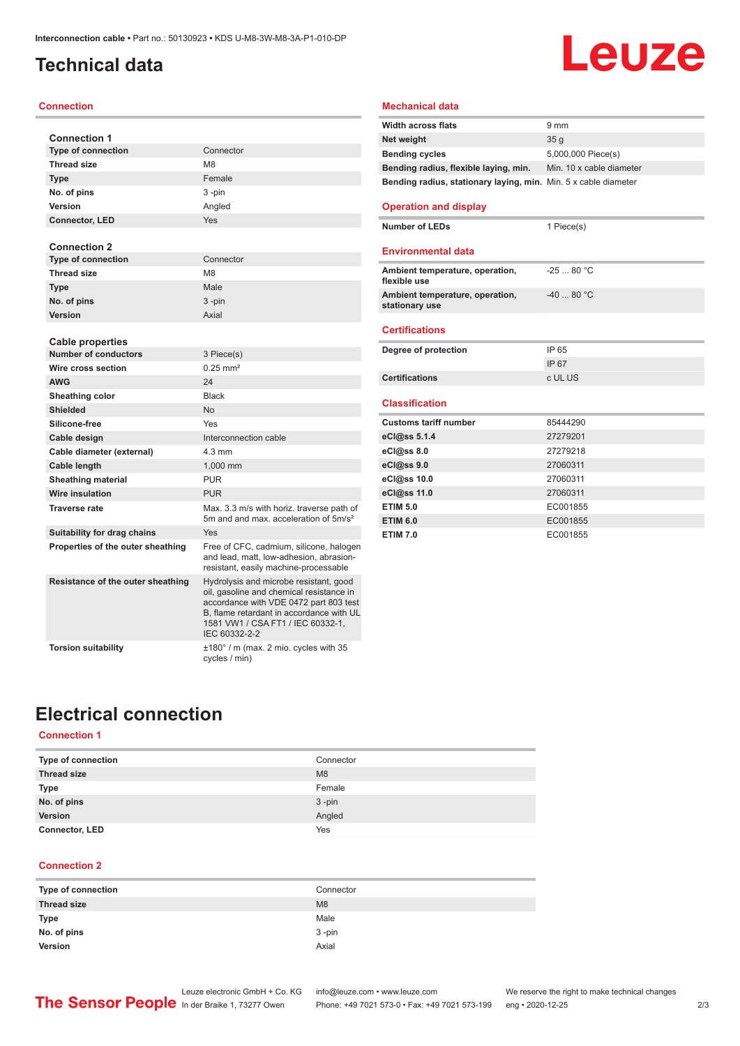### <span id="page-1-0"></span>**Technical data**

#### **Connection**

| <b>Connection 1</b>               |                                                                                                                                                                                                                                |
|-----------------------------------|--------------------------------------------------------------------------------------------------------------------------------------------------------------------------------------------------------------------------------|
| <b>Type of connection</b>         | Connector                                                                                                                                                                                                                      |
| <b>Thread size</b>                | M <sub>8</sub>                                                                                                                                                                                                                 |
| <b>Type</b>                       | Female                                                                                                                                                                                                                         |
| No. of pins                       | 3-pin                                                                                                                                                                                                                          |
| Version                           | Angled                                                                                                                                                                                                                         |
| <b>Connector, LED</b>             | Yes                                                                                                                                                                                                                            |
| <b>Connection 2</b>               |                                                                                                                                                                                                                                |
| <b>Type of connection</b>         | Connector                                                                                                                                                                                                                      |
| <b>Thread size</b>                | M <sub>8</sub>                                                                                                                                                                                                                 |
| <b>Type</b>                       | Male                                                                                                                                                                                                                           |
| No. of pins                       | 3-pin                                                                                                                                                                                                                          |
| Version                           | Axial                                                                                                                                                                                                                          |
|                                   |                                                                                                                                                                                                                                |
| <b>Cable properties</b>           |                                                                                                                                                                                                                                |
| <b>Number of conductors</b>       | 3 Piece(s)                                                                                                                                                                                                                     |
| Wire cross section                | $0.25$ mm <sup>2</sup>                                                                                                                                                                                                         |
| <b>AWG</b>                        | 24                                                                                                                                                                                                                             |
| Sheathing color                   | <b>Black</b>                                                                                                                                                                                                                   |
| Shielded                          | No                                                                                                                                                                                                                             |
| Silicone-free                     | Yes                                                                                                                                                                                                                            |
| Cable design                      | Interconnection cable                                                                                                                                                                                                          |
| Cable diameter (external)         | $4.3 \text{ mm}$                                                                                                                                                                                                               |
| Cable length                      | 1,000 mm                                                                                                                                                                                                                       |
| <b>Sheathing material</b>         | <b>PUR</b>                                                                                                                                                                                                                     |
| <b>Wire insulation</b>            | <b>PUR</b>                                                                                                                                                                                                                     |
| <b>Traverse rate</b>              | Max, 3.3 m/s with horiz, traverse path of<br>5m and and max, acceleration of 5m/s <sup>2</sup>                                                                                                                                 |
| Suitability for drag chains       | Yes                                                                                                                                                                                                                            |
| Properties of the outer sheathing | Free of CFC, cadmium, silicone, halogen<br>and lead, matt, low-adhesion, abrasion-<br>resistant, easily machine-processable                                                                                                    |
| Resistance of the outer sheathing | Hydrolysis and microbe resistant, good<br>oil, gasoline and chemical resistance in<br>accordance with VDE 0472 part 803 test<br>B, flame retardant in accordance with UL<br>1581 VW1 / CSA FT1 / IEC 60332-1,<br>IEC 60332-2-2 |
| <b>Torsion suitability</b>        | $±180^\circ$ / m (max. 2 mio. cycles with 35<br>cycles / min)                                                                                                                                                                  |

### **Mechanical data**

| <b>Width across flats</b>                                       | $9 \text{ mm}$           |
|-----------------------------------------------------------------|--------------------------|
| Net weight                                                      | 35q                      |
| <b>Bending cycles</b>                                           | 5,000,000 Piece(s)       |
| Bending radius, flexible laying, min.                           | Min. 10 x cable diameter |
| Bending radius, stationary laying, min. Min. 5 x cable diameter |                          |

Leuze

#### **Operation and display**

**Number of LEDs** 1 Piece(s)

### **Environmental data**

| Ambient temperature, operation,<br>flexible use   | $-2580 °C$ |
|---------------------------------------------------|------------|
| Ambient temperature, operation,<br>stationary use | $-4080 °C$ |
| <b>Certifications</b>                             |            |
|                                                   |            |
| Degree of protection                              | IP 65      |
|                                                   | IP 67      |
| <b>Certifications</b>                             | c UL US    |

| <b>Customs tariff number</b> | 85444290 |
|------------------------------|----------|
| eCl@ss 5.1.4                 | 27279201 |
| eCl@ss 8.0                   | 27279218 |
| eCl@ss 9.0                   | 27060311 |
| eCl@ss 10.0                  | 27060311 |
| eCl@ss 11.0                  | 27060311 |
| <b>ETIM 5.0</b>              | EC001855 |
| <b>ETIM 6.0</b>              | EC001855 |
| <b>ETIM 7.0</b>              | EC001855 |

### **Electrical connection**

### **Connection 1**

| Type of connection    | Connector |
|-----------------------|-----------|
| <b>Thread size</b>    | M8        |
| <b>Type</b>           | Female    |
| No. of pins           | $3 - pin$ |
| Version               | Angled    |
| <b>Connector, LED</b> | Yes       |

#### **Connection 2**

| Type of connection | Connector |
|--------------------|-----------|
| <b>Thread size</b> | M8        |
| Type               | Male      |
| No. of pins        | $3 - pin$ |
| Version            | Axial     |